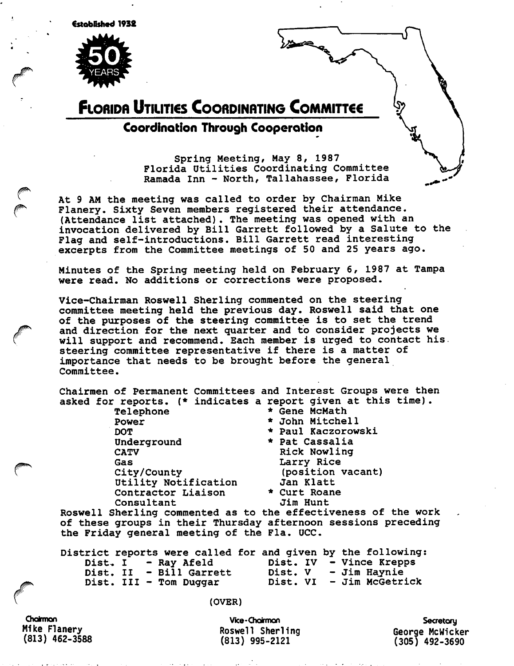Cstoblshed 1932



## **FLORIDA UTILITIES COORDINATING COMMITTEE**

## Coordination Through Cooperation

Spring Meeting, May 8, 1987 Florida Utilities Coordinating Committee Ramada Inn - North, Tallahassee, Florida

At 9 AM the meeting was called to order by Chairman Mike Flanery. Sixty Seven members registered their attendance. (Attendance list attached). The meeting was opened with an invocation delivered by Bill Garrett followed by a Salute to the Flag and self-introductions. Bill Garrett read interesting excerpts from the Committee meetings of 50 and 25 years ago.

Minutes of the Spring meeting held on February 6, 1987 at Tampa were read. No additions or corrections were proposed.

Vice-chairman Roswell Sherling commented on the steering committee meeting held the previous day. Roswell said that one of the purposes of the steering committee is to set the trend and direction for the next quarter and to consider projects we will support and recommend. Each member is urged to contact his steering committee representative if there is a matter of importance that needs to be brought before the general Committee.

Chairmen of Permanent Committees and Interest Groups were then asked for reports, (\* indicates a report given at this time).

> Telephone Power DOT Underground CATV Gas City/County Utility Notification Contractor Liaison Consultant

\* John Mitchell \* Paul Kaczorowski \* Pat Cassalia Rick Nowling Larry Rice (position vacant) Jan Klatt \* Curt Roane Jim Hunt

\* Gene McMath

Roswell Sherling commented as to the effectiveness of the work of these groups in their Thursday afternoon sessions preceding the Friday general meeting of the Fla. UCC.

| District reports were called for and given by the following: |                          |  |
|--------------------------------------------------------------|--------------------------|--|
| Dist. I - Ray Afeld                                          | Dist. IV - Vince Krepps  |  |
| Dist. II - Bill Garrett                                      | Dist. V - Jim Haynie     |  |
| Dist. III - Tom Duggar                                       | Dist. VI - Jim McGetrick |  |

(OVER)

**Chairman** Mike Flanery (813) 462-3588

Vice-Chairman Roswell Sherling (813) 995-2121

**Secretory** George McMlcker (305) 492-3690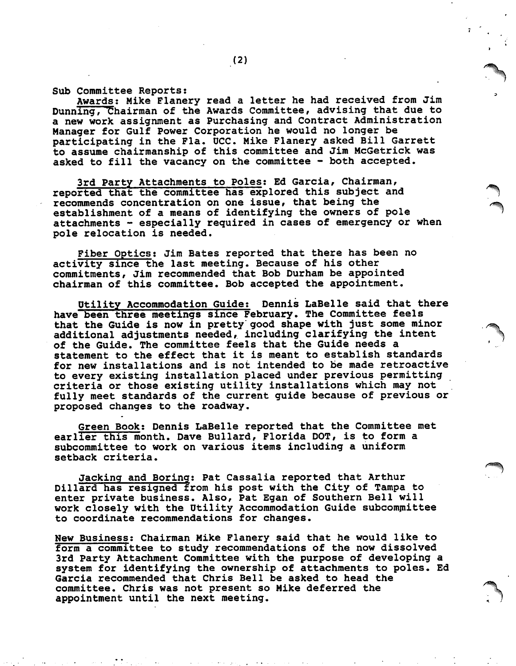Sub Committee Reports:

Awards: Mike Flanery read a letter he had received from Jim Dunning, Chairman of the Awards Committee, advising that due to a new work assignment as Purchasing and Contract Administration Manager for Gulf Power Corporation he would no longer be participating in the Fla. OCC. Mike Flanery asked Bill Garrett to assume chairmanship of this committee and Jim McGetrick was asked to fill the vacancy on the committee - both accepted.

3rd Party Attachments to Poles: Ed Garcia, Chairman, reported that the committee has explored this subject and recommends concentration on one issue, that being the establishment of a means of identifying the owners of pole attachments  $-$  especially required in cases of emergency or when pole relocation is needed.

Fiber Optics: Jim Bates reported that there has been no activity since the last meeting. Because of his other commitments, Jim recommended that Bob Durham be appointed chairman of this committee. Bob accepted the appointment.

Dtility Accommodation Guide: Dennis LaBelle said that there have been three meetings since February. The Committee feels that the Guide is now in pretty good shape with just some minor additional adjustments needed, including clarifying the intent of the Guide. The committee feels that the Guide needs a statement to the effect that it is meant to establish standards for new installations and is not intended to be made retroactive to every existing installation placed under previous permitting criteria or those existing utility installations which may not fully meet standards of the current guide because of previous or proposed changes to the roadway.

Green Book: Dennis LaBelle reported that the Committee met earlier this month. Dave Builard, Florida DOT, is to form a subcommittee to work on various items including a uniform setback criteria.

Jacking and Boring: Pat Cassalia reported that Arthur Dillard has resigned from his post with the City of Tampa to enter private business. Also, Pat Egan of Southern Bell will work closely with the Utility Accommodation Guide subcommittee to coordinate recommendations for changes.

New Business: Chairman Mike Flanery said that he would like to form a committee to study recommendations of the now dissolved 3rd Party Attachment Committee with the purpose of developing a system for identifying the ownership of attachments to poles. Ed Garcia recommended that Chris Bell be asked to head the committee. Chris was not present so Mike deferred the appointment until the next meeting.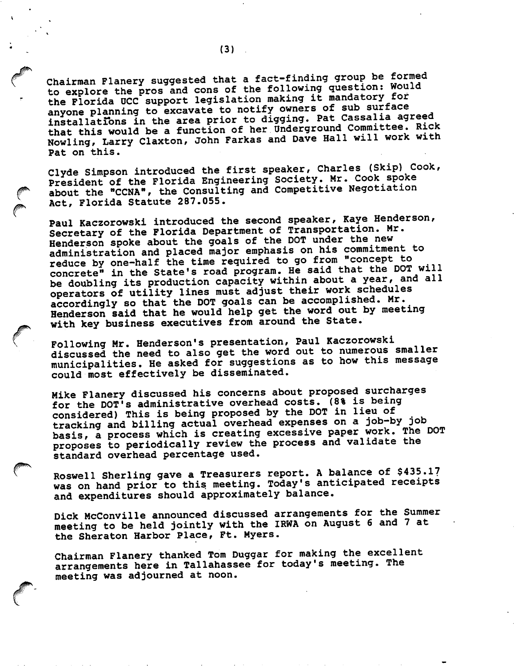Chairman Flanery suggested that a fact-finding group be formed to explore the pros and cons of the following question; Would the Florida UCC support legislation making it mandatory tor anyone planning to excavate to notify owners of sub surface installations in the area prior to digging. Pat Cassalia agreed that this would be a function of her Underground Committee. Rick Nowling, Larry Claxton, John Farkas and Dave Hall will work with Pat on this.

Clyde Simpson introduced the first speaker, Charles (Skip) Cook, President of the Florida Engineering Society. Mr. Cook spoke about the "CCNA", the Consulting and Competitive Negotiation Act, Florida Statute 287.055.

Paul Kaczorowski introduced the second speaker, Kaye Henderson, Secretary of the Florida Department of Transportation. Mr. Henderson spoke about the goals of the DOT under the new administration and placed major emphasis on his commitment to reduce by one-half the time required to go from 'concept to concrete" in the State's road program. He said that the DOT will be doubling its production capacity within about a year, and all operators of utility lines must adjust their work schedules accordingly so that the DOT goals can be accomplished. Mr. Henderson said that he would help get the word out by meeting with key business executives from around the State.

Following Mr. Henderson's presentation, Paul Kaczorowski discussed the need to also get the word out to numerous smaller municipalities. He asked for suggestions as to how this message could most effectively be disseminated.

Mike Flanery discussed his concerns about proposed surcharges for the DOT'S administrative overhead costs. (8% is being considered) This is being proposed by the DOT in lieu of tracking and billing actual overhead expenses on a job-by job basis, a process which is creating excessive paper work. The DOT proposes to periodically review the process and validate the standard overhead percentage used.

Roswell Sherling gave a Treasurers report. A balance of \$435.1? was on hand prior to this meeting. Today's anticipated receipts and expenditures should approximately balance.

Dick McConville announced discussed arrangements for the Summer meeting to be held jointly with the IRWA on August 6 and 7 at the Sheraton Harbor Place, Ft. Myers.

Chairman Flanery thanked Tom Duggar for making the excellent arrangements here in Tallahassee for today's meeting. The meeting was adjourned at noon.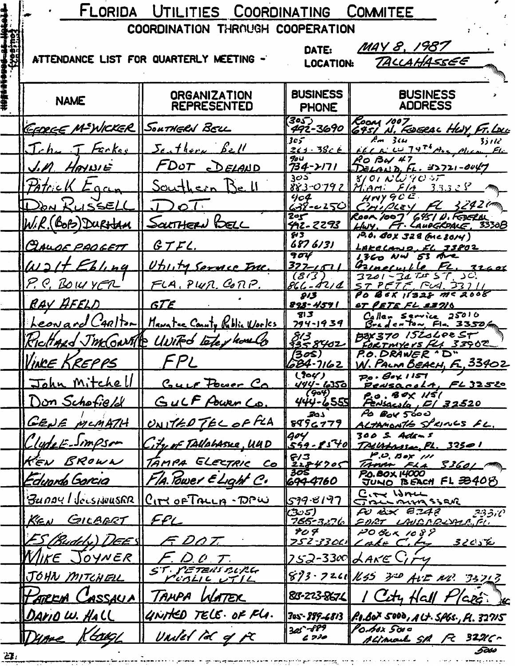|     | FLORIDA<br>UTILITIES COORDINATING<br><b>COMMITEE</b> |                                                     |                                   |                                                                                                                                                          |  |
|-----|------------------------------------------------------|-----------------------------------------------------|-----------------------------------|----------------------------------------------------------------------------------------------------------------------------------------------------------|--|
|     | <b>COORDINATION THROUGH COOPERATION</b>              |                                                     |                                   |                                                                                                                                                          |  |
|     |                                                      | ATTENDANCE LIST FOR QUARTERLY MEETING -             | DATE:<br><b>LOCATION:</b>         | MAY 8, 1987<br>TALLAHASSEE                                                                                                                               |  |
|     |                                                      |                                                     |                                   |                                                                                                                                                          |  |
|     | <b>NAME</b>                                          | <b>ORGANIZATION</b><br><b>REPRESENTED</b>           | <b>BUSINESS</b><br><b>PHONE</b>   | <b>BUSINESS</b><br><b>ADDRESS</b>                                                                                                                        |  |
|     | GEBREE M-WICKER SOUTHERN BELL                        |                                                     | 305)<br>492-3690                  | ROOM 1007<br>G951 N. FOGRAC HUY, FT.LOU                                                                                                                  |  |
|     | Tche T Facker                                        | Scathery Bell                                       | 305<br><u> 261 - 386 E</u>        | $\overline{Am}$ $3\omega$<br>$3$ s 1 12<br>$F_{\ell}$ $f_{\ell}$ $f_{\ell}$ $f_{\ell}$ $f_{\ell}$ $f_{\ell}$ $f_{\ell}$ $f_{\ell}$ $f_{\ell}$ $f_{\ell}$ |  |
|     | <u>J.M. HAYNIE</u>                                   | FDUT DELAND                                         | 90U<br>734->171                   | RO Bay 47<br>$D$ ELAND, FL. 32721-0047                                                                                                                   |  |
|     | Patrick<br>$Ca_{cm}$                                 | <u>Southern</u> Bell                                | 305<br>883-0797                   | $8/01$ NW 90 57<br>$Minm: F/A = 3.3.3 \times S$                                                                                                          |  |
|     | DON KUSSELL                                          | 20T                                                 | 904<br>638-02501                  | $H$ rvy GCE<br>$FL = 3242$ (m)<br>CHIPLEY                                                                                                                |  |
|     | W.R. (BOB) DURHAM                                    | <u>SOLTHERN LOELL</u>                               | $\overline{2}$ or<br>42-2293      | ROOM 1007 6451 N. FEBERAL<br>HWY, FT. LAUDGROALE, 3330B                                                                                                  |  |
|     | CLAUDE PADGETT                                       | GTLC                                                | H3.<br>6876131                    | $19.0.60x$ 328 (MC 8014)<br>LAKECAND, EL 33802                                                                                                           |  |
|     | $w$ <sup>2</sup> $t$ <i>Ebling</i>                   | Utility Service Inc.                                | 904<br>377-151                    | $1360$ NW $53$ Are<br>Gaineruille FL. 32606                                                                                                              |  |
|     | P.C. BOWYER                                          | FLA, PWN. CONP.                                     | (313)<br>866-421 A                | $3201 - 347 + 57$ , SC.<br>$ST$ $PETE$ , $FV4$ , $33711$                                                                                                 |  |
|     | RAY AFELD                                            | <b>GTE</b>                                          | 813<br>898-4591                   | PO BEX 11328 MC 2008<br><u>ST PETE FL 83716</u>                                                                                                          |  |
|     |                                                      | <u>Leonard CARITOR Manatec County Roblie Worlds</u> | 513<br>$794 - 1939$               | Caller Service 25010<br>Bradenton Fla. 3350A                                                                                                             |  |
|     |                                                      | KicHARD JMCGNAP UNIFO Letey hould                   | 813<br>3358402                    | $B8X370$ 15204005 $\overline{r}$<br>FORTMYEYS FLA 33902                                                                                                  |  |
|     | WINCE KREPPS                                         | <i>FPL</i>                                          | (3os)<br>684-7162                 | P.O. DRAWER 'D"<br><u> W. PALM BEACH, F., 33402</u>                                                                                                      |  |
|     | John Mitchell                                        | <u>Guer Power Ca</u>                                | (304)<br><u>444 - 6350  </u>      | $Po \cdot Go \times 1157$<br>PensacoLA, FL 32520                                                                                                         |  |
|     | Don Schofield                                        | GULF Power Co.                                      | (904)<br>444-6555                 | $20.80 \times 1/51$<br><u> Fensacula, El 32520</u>                                                                                                       |  |
|     | GENE MCMATH                                          | UNITED TEL OF FLA                                   | 201<br>8996779                    | PO BOY 5600<br>ALTAMONTE SPRINGS FL.                                                                                                                     |  |
|     | CludeE-Simpson                                       | itrof TAVALASKE, UUD                                | 1904                              | 30 <i>0 S. Adens</i><br>549-8540 TALUMANE, PL. 32501                                                                                                     |  |
|     | KEN BROWN                                            | TAMPA ELECTRIC CO                                   | 6/3                               | P.O. Box 111<br>TAMA FLA 33601                                                                                                                           |  |
|     | <u>Eduarda Garcia</u>                                | Fla. Power ELight C.                                | $\frac{2284905}{305}$<br>694-4760 | P.O. BOX 14000<br>JUNO BEACH FL 33408                                                                                                                    |  |
|     |                                                      | BUDOY/JOLSHUUSER ICITY OF TALLA-DPW                 | 539-8197                          | City Wru<br>CTBLL BULA SSENC                                                                                                                             |  |
|     | KEN<br>GILBERT                                       | FFL                                                 | (සං5)<br>765-32761                | $F$ Bx $B.242$<br>33310<br><u>FORT UNDRRIVAR.FL.</u>                                                                                                     |  |
|     | <u>ES (Buddy) DEES</u>                               | F. DOT.                                             | ዎሪ ዎ                              | 20 BUR 1089<br>$25232001$ Cake C, to<br>3205K                                                                                                            |  |
|     | Wire $\subset$<br><u>JOYNER</u>                      | $D_1$ $D_2$ $T_1$                                   |                                   | 752-330 LAKE Lity                                                                                                                                        |  |
|     | JOHN MITCHELL                                        | ST. PETENS BLRG<br>CUBLIC UTIL                      |                                   | 893-7261 K55 320 AUC NO. 33713                                                                                                                           |  |
|     | HARCH (<br>ASSAUA                                    | TAMPA WATER                                         | 83-223-8674                       | City Hall Plate le                                                                                                                                       |  |
|     | DAVIO W. HALL                                        | UNITED TELE. OF FLA.                                |                                   | 3a5-889-6813    P.I.Box 5000 , A Lt. 5fbs. , Fl. 32715                                                                                                   |  |
|     | Klaugh<br>Dume                                       | Uniled Pd of FC                                     | $305 - 689$                       | Po.hox 5000<br>ALIMAL SA FC 32216-                                                                                                                       |  |
| 27. |                                                      |                                                     |                                   | 5coo                                                                                                                                                     |  |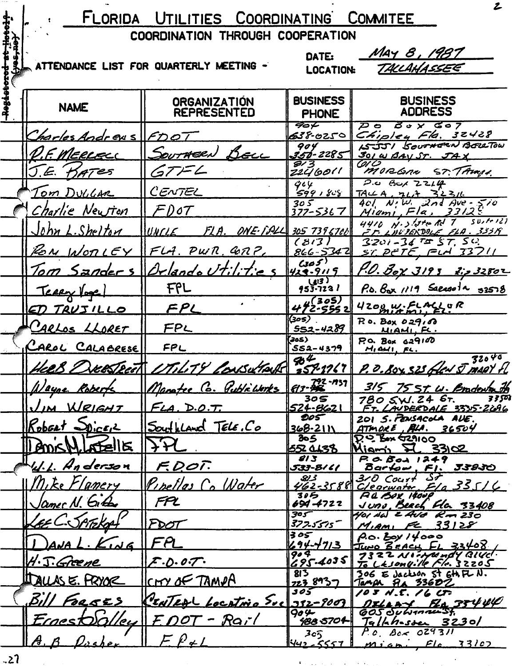|       |                            | FLORIDA UTILITIES COORDINATING COMMITEE   |                                                                                     | Z                                                                      |
|-------|----------------------------|-------------------------------------------|-------------------------------------------------------------------------------------|------------------------------------------------------------------------|
|       |                            | COORDINATION THROUGH COOPERATION          |                                                                                     |                                                                        |
|       |                            | ATTENDANCE LIST FOR QUARTERLY MEETING -   | DATE:<br><b>LOCATION:</b>                                                           | May 8, 1987<br>TALLAHASSEE                                             |
| Hagat | <b>NAME</b>                | <b>ORGANIZATION</b><br><b>REPRESENTED</b> | <b>BUSINESS</b><br><b>PHONE</b>                                                     | <b>BUSINESS</b><br><b>ADDRESS</b>                                      |
|       | Charles Andrews FDOT       |                                           | 40 F<br>638-0250                                                                    | $30x$ $307$<br>$\boldsymbol{\varphi}$ o<br>Chipley Fla. 32428          |
|       | <u>D.F. MERLELL</u>        | SOUTHERN BELL                             | 904<br>356-2285                                                                     | ASJJI SOUTHERN BERRIOW<br>301 W BAV ST. JA                             |
|       | J.E. KATES                 | GT F L                                    | $\overline{\mathcal{S}'3}$<br>Z2ł/60 <sup>(1</sup>                                  | (oi C)<br>MORGAN ST. TAMPA.                                            |
|       | <u>Tom Dullar</u>          | CENTEL                                    | 964<br><del>599 1808</del>                                                          | $2.0$ But $2214$<br>TALA, 7LA 3L3L                                     |
|       | Charlie Newton             | FD 0T                                     | 305<br>377-5367                                                                     | $401$ N.W. 2nd Ave - 510<br>$M$ iami, Fla, 3312                        |
|       | John L. Shelton            | $ UNCLE$ FLA. ONE FALL 305 7396700        |                                                                                     | 4410 $N.3$ late Rd $7 - 50$ , to 121<br><u>FF LUVIERDOLE FLA. 335K</u> |
|       | ROM WORLEY                 | <u>IFLA. PWR. GRZ</u>                     | (313)<br>866-5342                                                                   | $3201 - 347557, 50$<br>$ST$ $PETE$ , $F1$ $T37$                        |
|       |                            | <u> Tom Sanders Virlando Utilitic</u>     | $G\circ\overline{S}$<br>423-9119                                                    | <u>P.O. Box 3193 2: 232802</u>                                         |
|       | <u>Terry loge</u>          | FPL                                       | (413)<br>953-723 I                                                                  | $P_{0.6}$ $B_{0}$ x $/119$ Saeaso $14$ 32578                           |
|       | ED TRUJILLO                | FPL                                       | <u>µ[</u> 305)<br>472-5552                                                          | 4200 W.FLACLUR                                                         |
|       | CARLOS LLORET              | FPL                                       | (30S)<br>$552 - 4289$                                                               | $R$ o. Box 029, $\Omega$<br>MIAMI FL.                                  |
|       | CAROL CALABRESE            | FPL                                       | 305)<br>552-4379                                                                    | $Pc$ . Box $d29100$<br>$H_1$ and $r$ , $r$ c.                          |
|       | <u>4ce.8</u> )<br>KlSZLeel | TILITY CONSULTANT                         | $\boldsymbol{\mathscr{B}}^{\overline{\boldsymbol{\mathscr{L}}}}$<br><u>257-1767</u> | 32040<br>P. O. Boy SZS Gled ST MANY FL                                 |
|       | Wayne                      | Manatee Co. Public Works                  | $792 - 737$<br><u>   613 - 996</u>                                                  | 315 75 St. W. Bradewardt                                               |
|       | WRIGHT                     | <u>FLA. D.O.T.</u>                        | 305<br><u> 524-8621</u>                                                             | 33501<br>780 SW. 24 67.<br>FT. LAUDERDALE 3335-2696                    |
|       | Robert Dicer               | Southland Tele, Co                        | DO ST<br>368-2111                                                                   | 201 S. PENSACOLA AVE.<br>ATMORE, ALA. 36504                            |
|       | 부터                         |                                           | 305<br><b>552 CL38</b>                                                              | Dio Bax Asiloo<br>Kigmi <b>I</b><br>331 <u>02</u>                      |
|       | <u>U.L. Hn</u> derson      | F.D.OT.                                   | 813<br>533-8/6/                                                                     | $P G G$ $B$ od $1249$<br>Bartow, Fl. 33830                             |
|       | Mike Flamery               | <u>Pipellas Co Water</u>                  | كمنكف                                                                               | $310$ Court ST<br>462-3588 Clearwater, Fla 33516                       |
|       | <u>lamer</u> N. Girls      | FPL                                       | 30ら<br>694-4722                                                                     | P.a. Box 14008<br>Juns, Beach Fla. 33408                               |
|       | - Spreka                   | FDOT                                      | 305<br>377.5515                                                                     | 401 NW & AVE Rom 230<br>MIAMI FC 33128                                 |
|       | Kud                        | FA                                        | 305<br>694-4713                                                                     | $\rho$ o. boy 14000<br>JUNO BEACH FL 33408                             |
|       | H. <u>T. Greene</u>        | Z.0.07                                    | 904<br>695.4035                                                                     | 7322 Northundy Bluel.<br>To LEsonyille Fle. 32205                      |
|       | DALLAS E. PRYOR            | CHY OF TAMPA                              | 813<br>223 8937                                                                     | 306 E Jackson St GHIL N.<br>Tanja 8a 33602                             |
|       | Bill FORSES                | ENTEAL LOCATING Sue                       | 305<br>332-9009                                                                     | 103 N.E. 16 CF<br>$0.74447$ $6.35444$                                  |
|       | Ernest<br>l le c           | EDOT - Rail                               | $90 -$<br><u>488</u> 5704                                                           | GOS SULVAMENST.<br>Talkhossen 32301                                    |
|       |                            |                                           | 3c5<br>$442 - 5557$                                                                 | $P_{c}$ $\beta_{c}$ $\sim$ 029311<br>$m$ iani, $Fla$ 33107             |

 $\tilde{\P}(\tilde{\mathcal{A}}) = \tilde{\mathcal{A}}(\tilde{\mathcal{A}}) = \tilde{\mathcal{A}}(\tilde{\mathcal{A}}) = \tilde{\mathcal{A}}(\tilde{\mathcal{A}}) = \tilde{\mathcal{A}}(\tilde{\mathcal{A}}) = \tilde{\mathcal{A}}(\tilde{\mathcal{A}}) = \tilde{\mathcal{A}}(\tilde{\mathcal{A}}) = \tilde{\mathcal{A}}(\tilde{\mathcal{A}}) = \tilde{\mathcal{A}}(\tilde{\mathcal{A}})$ 

 $.27$